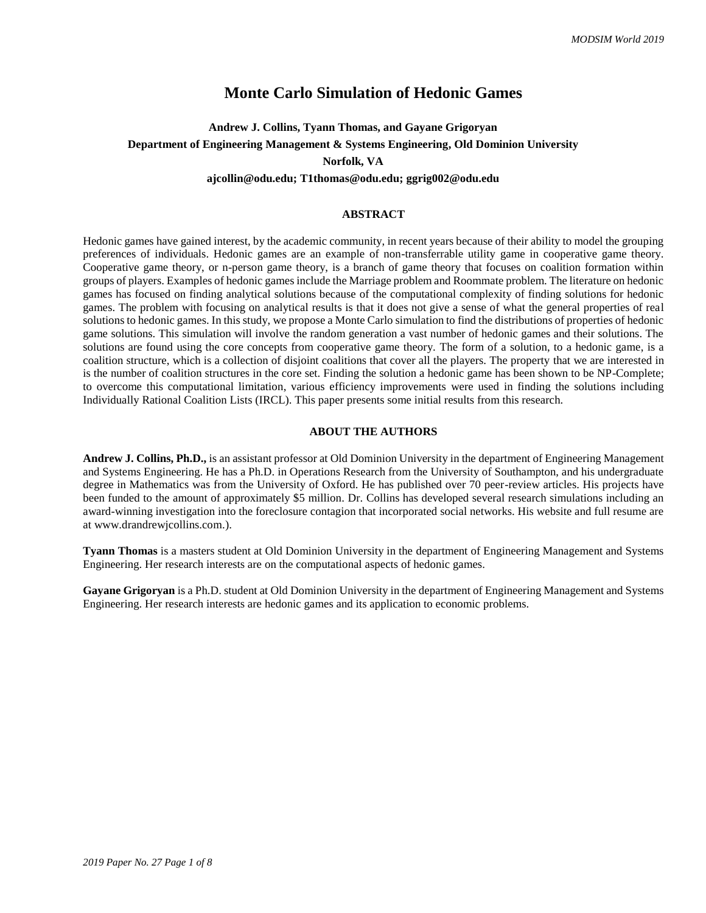## **Monte Carlo Simulation of Hedonic Games**

## **Andrew J. Collins, Tyann Thomas, and Gayane Grigoryan Department of Engineering Management & Systems Engineering, Old Dominion University Norfolk, VA**

#### **ajcollin@odu.edu; T1thomas@odu.edu; ggrig002@odu.edu**

#### **ABSTRACT**

Hedonic games have gained interest, by the academic community, in recent years because of their ability to model the grouping preferences of individuals. Hedonic games are an example of non-transferrable utility game in cooperative game theory. Cooperative game theory, or n-person game theory, is a branch of game theory that focuses on coalition formation within groups of players. Examples of hedonic games include the Marriage problem and Roommate problem. The literature on hedonic games has focused on finding analytical solutions because of the computational complexity of finding solutions for hedonic games. The problem with focusing on analytical results is that it does not give a sense of what the general properties of real solutions to hedonic games. In this study, we propose a Monte Carlo simulation to find the distributions of properties of hedonic game solutions. This simulation will involve the random generation a vast number of hedonic games and their solutions. The solutions are found using the core concepts from cooperative game theory. The form of a solution, to a hedonic game, is a coalition structure, which is a collection of disjoint coalitions that cover all the players. The property that we are interested in is the number of coalition structures in the core set. Finding the solution a hedonic game has been shown to be NP-Complete; to overcome this computational limitation, various efficiency improvements were used in finding the solutions including Individually Rational Coalition Lists (IRCL). This paper presents some initial results from this research.

### **ABOUT THE AUTHORS**

**Andrew J. Collins, Ph.D.,** is an assistant professor at Old Dominion University in the department of Engineering Management and Systems Engineering. He has a Ph.D. in Operations Research from the University of Southampton, and his undergraduate degree in Mathematics was from the University of Oxford. He has published over 70 peer-review articles. His projects have been funded to the amount of approximately \$5 million. Dr. Collins has developed several research simulations including an award-winning investigation into the foreclosure contagion that incorporated social networks. His website and full resume are at www.drandrewjcollins.com.).

**Tyann Thomas** is a masters student at Old Dominion University in the department of Engineering Management and Systems Engineering. Her research interests are on the computational aspects of hedonic games.

**Gayane Grigoryan** is a Ph.D. student at Old Dominion University in the department of Engineering Management and Systems Engineering. Her research interests are hedonic games and its application to economic problems.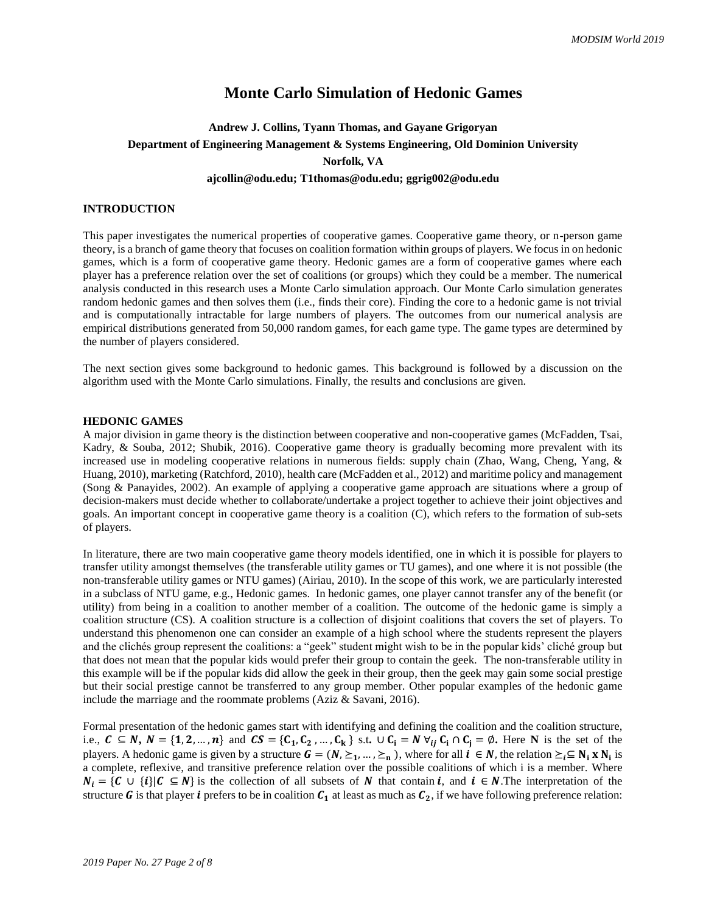## **Monte Carlo Simulation of Hedonic Games**

# **Andrew J. Collins, Tyann Thomas, and Gayane Grigoryan Department of Engineering Management & Systems Engineering, Old Dominion University Norfolk, VA**

#### **ajcollin@odu.edu; T1thomas@odu.edu; ggrig002@odu.edu**

## **INTRODUCTION**

This paper investigates the numerical properties of cooperative games. Cooperative game theory, or n-person game theory, is a branch of game theory that focuses on coalition formation within groups of players. We focus in on hedonic games, which is a form of cooperative game theory. Hedonic games are a form of cooperative games where each player has a preference relation over the set of coalitions (or groups) which they could be a member. The numerical analysis conducted in this research uses a Monte Carlo simulation approach. Our Monte Carlo simulation generates random hedonic games and then solves them (i.e., finds their core). Finding the core to a hedonic game is not trivial and is computationally intractable for large numbers of players. The outcomes from our numerical analysis are empirical distributions generated from 50,000 random games, for each game type. The game types are determined by the number of players considered.

The next section gives some background to hedonic games. This background is followed by a discussion on the algorithm used with the Monte Carlo simulations. Finally, the results and conclusions are given.

### **HEDONIC GAMES**

A major division in game theory is the distinction between cooperative and non-cooperative games (McFadden, Tsai, Kadry, & Souba, 2012; Shubik, 2016). Cooperative game theory is gradually becoming more prevalent with its increased use in modeling cooperative relations in numerous fields: supply chain (Zhao, Wang, Cheng, Yang, & Huang, 2010), marketing (Ratchford, 2010), health care (McFadden et al., 2012) and maritime policy and management (Song & Panayides, 2002). An example of applying a cooperative game approach are situations where a group of decision-makers must decide whether to collaborate/undertake a project together to achieve their joint objectives and goals. An important concept in cooperative game theory is a coalition (C), which refers to the formation of sub-sets of players.

In literature, there are two main cooperative game theory models identified, one in which it is possible for players to transfer utility amongst themselves (the transferable utility games or TU games), and one where it is not possible (the non-transferable utility games or NTU games) (Airiau, 2010). In the scope of this work, we are particularly interested in a subclass of NTU game, e.g., Hedonic games. In hedonic games, one player cannot transfer any of the benefit (or utility) from being in a coalition to another member of a coalition. The outcome of the hedonic game is simply a coalition structure (CS). A coalition structure is a collection of disjoint coalitions that covers the set of players. To understand this phenomenon one can consider an example of a high school where the students represent the players and the clichés group represent the coalitions: a "geek" student might wish to be in the popular kids' cliché group but that does not mean that the popular kids would prefer their group to contain the geek. The non-transferable utility in this example will be if the popular kids did allow the geek in their group, then the geek may gain some social prestige but their social prestige cannot be transferred to any group member. Other popular examples of the hedonic game include the marriage and the roommate problems (Aziz & Savani, 2016).

Formal presentation of the hedonic games start with identifying and defining the coalition and the coalition structure, i.e.,  $C \subseteq N$ ,  $N = \{1, 2, ..., n\}$  and  $CS = \{C_1, C_2, ..., C_k\}$  s.t.  $\cup C_i = N \ \forall_{ij} C_i \cap C_j = \emptyset$ . Here N is the set of the players. A hedonic game is given by a structure  $G = (N, \geq_1, ..., \geq_n)$ , where for all  $i \in N$ , the relation  $\geq_i \subseteq N_i \times N_i$  is a complete, reflexive, and transitive preference relation over the possible coalitions of which i is a member. Where  $N_i = \{ C \cup \{i\} | C \subseteq N \}$  is the collection of all subsets of N that contain i, and  $i \in N$ . The interpretation of the structure G is that player *i* prefers to be in coalition  $C_1$  at least as much as  $C_2$ , if we have following preference relation: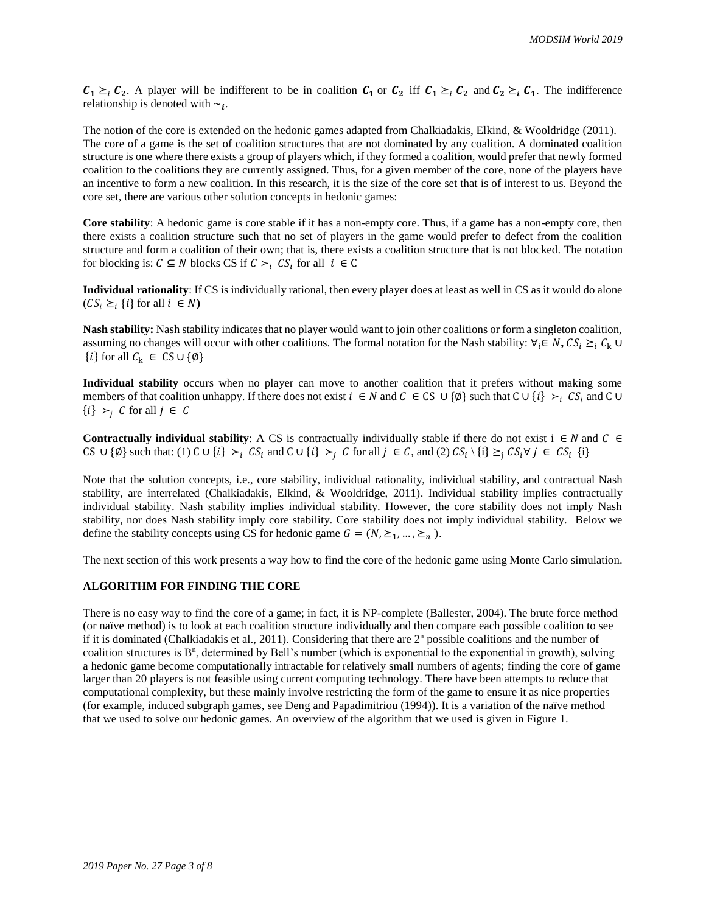$C_1 \succeq_i C_2$ . A player will be indifferent to be in coalition  $C_1$  or  $C_2$  iff  $C_1 \succeq_i C_2$  and  $C_2 \succeq_i C_1$ . The indifference relationship is denoted with  $\sim_i$ .

The notion of the core is extended on the hedonic games adapted from Chalkiadakis, Elkind, & Wooldridge (2011). The core of a game is the set of coalition structures that are not dominated by any coalition. A dominated coalition structure is one where there exists a group of players which, if they formed a coalition, would prefer that newly formed coalition to the coalitions they are currently assigned. Thus, for a given member of the core, none of the players have an incentive to form a new coalition. In this research, it is the size of the core set that is of interest to us. Beyond the core set, there are various other solution concepts in hedonic games:

**Core stability**: A hedonic game is core stable if it has a non-empty core. Thus, if a game has a non-empty core, then there exists a coalition structure such that no set of players in the game would prefer to defect from the coalition structure and form a coalition of their own; that is, there exists a coalition structure that is not blocked. The notation for blocking is:  $C \subseteq N$  blocks CS if  $C \succ_i CS_i$  for all  $i \in C$ 

**Individual rationality**: If CS is individually rational, then every player does at least as well in CS as it would do alone  $(CS_i \geq_i \{i\} \text{ for all } i \in N)$ 

**Nash stability:** Nash stability indicates that no player would want to join other coalitions or form a singleton coalition, assuming no changes will occur with other coalitions. The formal notation for the Nash stability:  $\forall_i \in N$ ,  $CS_i \geq_i C_k$  ∪  ${i}$  for all  $C_k \in CS \cup \{\emptyset\}$ 

**Individual stability** occurs when no player can move to another coalition that it prefers without making some members of that coalition unhappy. If there does not exist  $i \in N$  and  $C \in CS$  ∪ {Ø} such that  $C \cup \{i\} >i_i CS_i$  and  $C \cup \{i\}$  ${i} >_{i} C$  for all  $j \in C$ 

**Contractually individual stability**: A CS is contractually individually stable if there do not exist  $i \in N$  and  $C \in$ CS  $\cup$  {Ø} such that: (1) C  $\cup$  {i}  $\succ_i CS_i$  and C  $\cup$  {i}  $\succ_j C$  for all  $j \in C$ , and (2)  $CS_i \setminus \{i\} \succeq_j CS_i \forall j \in CS_i$  {i}

Note that the solution concepts, i.e., core stability, individual rationality, individual stability, and contractual Nash stability, are interrelated (Chalkiadakis, Elkind, & Wooldridge, 2011). Individual stability implies contractually individual stability. Nash stability implies individual stability. However, the core stability does not imply Nash stability, nor does Nash stability imply core stability. Core stability does not imply individual stability. Below we define the stability concepts using CS for hedonic game  $G = (N, \geq_1, ..., \geq_n)$ .

The next section of this work presents a way how to find the core of the hedonic game using Monte Carlo simulation.

## **ALGORITHM FOR FINDING THE CORE**

There is no easy way to find the core of a game; in fact, it is NP-complete (Ballester, 2004). The brute force method (or naïve method) is to look at each coalition structure individually and then compare each possible coalition to see if it is dominated (Chalkiadakis et al., 2011). Considering that there are  $2<sup>n</sup>$  possible coalitions and the number of coalition structures is B<sup>n</sup>, determined by Bell's number (which is exponential to the exponential in growth), solving a hedonic game become computationally intractable for relatively small numbers of agents; finding the core of game larger than 20 players is not feasible using current computing technology. There have been attempts to reduce that computational complexity, but these mainly involve restricting the form of the game to ensure it as nice properties (for example, induced subgraph games, see Deng and Papadimitriou (1994)). It is a variation of the naïve method that we used to solve our hedonic games. An overview of the algorithm that we used is given in Figure 1.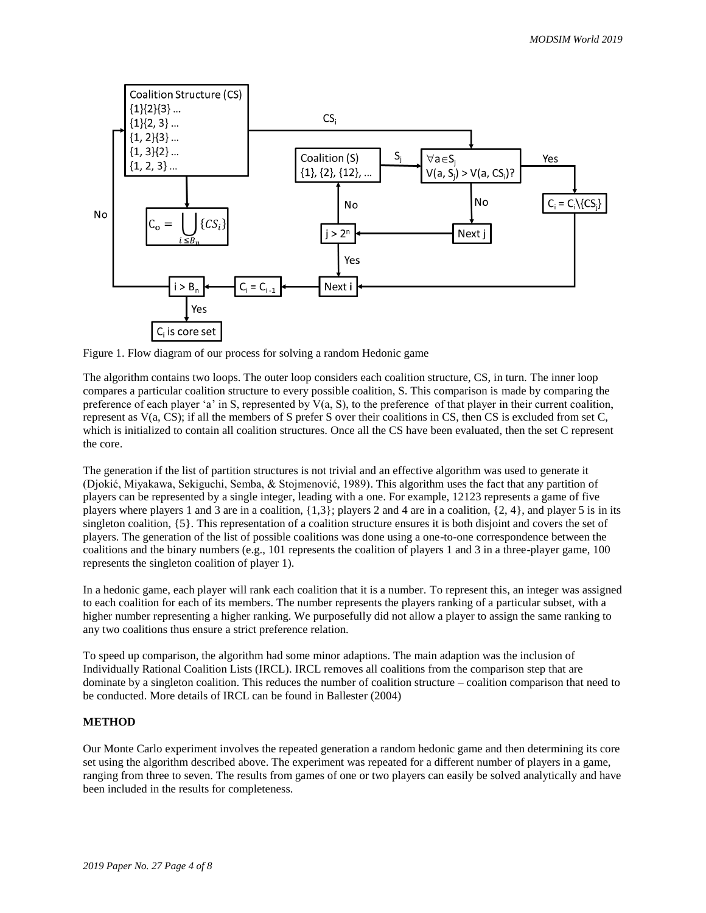

Figure 1. Flow diagram of our process for solving a random Hedonic game

The algorithm contains two loops. The outer loop considers each coalition structure, CS, in turn. The inner loop compares a particular coalition structure to every possible coalition, S. This comparison is made by comparing the preference of each player 'a' in S, represented by  $V(a, S)$ , to the preference of that player in their current coalition, represent as V(a, CS); if all the members of S prefer S over their coalitions in CS, then CS is excluded from set C, which is initialized to contain all coalition structures. Once all the CS have been evaluated, then the set C represent the core.

The generation if the list of partition structures is not trivial and an effective algorithm was used to generate it (Djokić, Miyakawa, Sekiguchi, Semba, & Stojmenović, 1989). This algorithm uses the fact that any partition of players can be represented by a single integer, leading with a one. For example, 12123 represents a game of five players where players 1 and 3 are in a coalition,  $\{1,3\}$ ; players 2 and 4 are in a coalition,  $\{2, 4\}$ , and player 5 is in its singleton coalition, {5}. This representation of a coalition structure ensures it is both disjoint and covers the set of players. The generation of the list of possible coalitions was done using a one-to-one correspondence between the coalitions and the binary numbers (e.g., 101 represents the coalition of players 1 and 3 in a three-player game, 100 represents the singleton coalition of player 1).

In a hedonic game, each player will rank each coalition that it is a number. To represent this, an integer was assigned to each coalition for each of its members. The number represents the players ranking of a particular subset, with a higher number representing a higher ranking. We purposefully did not allow a player to assign the same ranking to any two coalitions thus ensure a strict preference relation.

To speed up comparison, the algorithm had some minor adaptions. The main adaption was the inclusion of Individually Rational Coalition Lists (IRCL). IRCL removes all coalitions from the comparison step that are dominate by a singleton coalition. This reduces the number of coalition structure – coalition comparison that need to be conducted. More details of IRCL can be found in Ballester (2004)

## **METHOD**

Our Monte Carlo experiment involves the repeated generation a random hedonic game and then determining its core set using the algorithm described above. The experiment was repeated for a different number of players in a game, ranging from three to seven. The results from games of one or two players can easily be solved analytically and have been included in the results for completeness.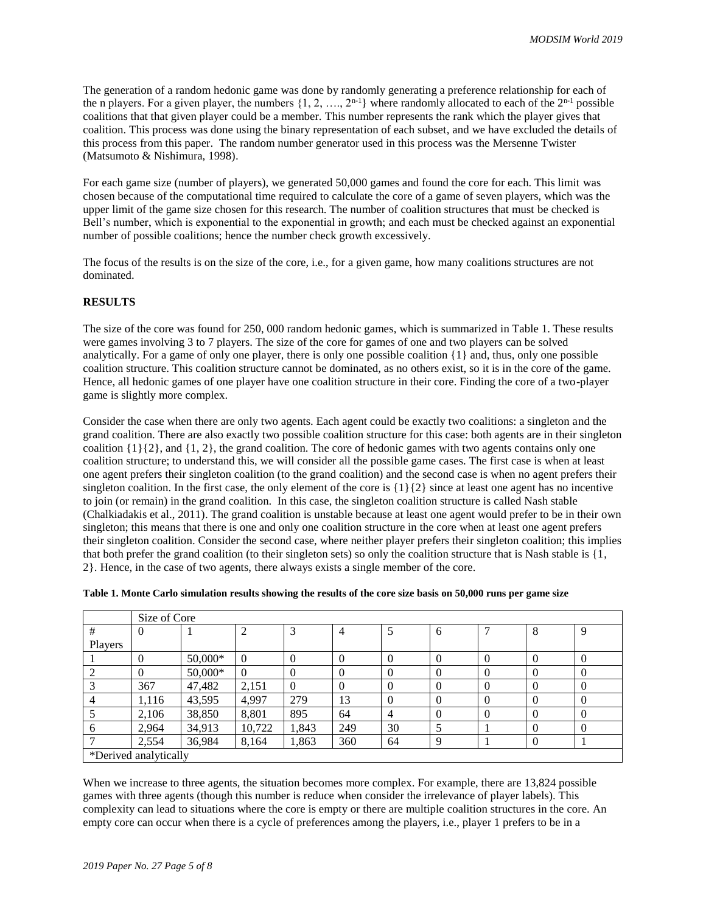The generation of a random hedonic game was done by randomly generating a preference relationship for each of the n players. For a given player, the numbers  $\{1, 2, ..., 2^{n-1}\}$  where randomly allocated to each of the  $2^{n-1}$  possible coalitions that that given player could be a member. This number represents the rank which the player gives that coalition. This process was done using the binary representation of each subset, and we have excluded the details of this process from this paper. The random number generator used in this process was the Mersenne Twister (Matsumoto & Nishimura, 1998).

For each game size (number of players), we generated 50,000 games and found the core for each. This limit was chosen because of the computational time required to calculate the core of a game of seven players, which was the upper limit of the game size chosen for this research. The number of coalition structures that must be checked is Bell's number, which is exponential to the exponential in growth; and each must be checked against an exponential number of possible coalitions; hence the number check growth excessively.

The focus of the results is on the size of the core, i.e., for a given game, how many coalitions structures are not dominated.

#### **RESULTS**

The size of the core was found for 250, 000 random hedonic games, which is summarized in Table 1. These results were games involving 3 to 7 players. The size of the core for games of one and two players can be solved analytically. For a game of only one player, there is only one possible coalition {1} and, thus, only one possible coalition structure. This coalition structure cannot be dominated, as no others exist, so it is in the core of the game. Hence, all hedonic games of one player have one coalition structure in their core. Finding the core of a two-player game is slightly more complex.

Consider the case when there are only two agents. Each agent could be exactly two coalitions: a singleton and the grand coalition. There are also exactly two possible coalition structure for this case: both agents are in their singleton coalition  $\{1\}\{2\}$ , and  $\{1, 2\}$ , the grand coalition. The core of hedonic games with two agents contains only one coalition structure; to understand this, we will consider all the possible game cases. The first case is when at least one agent prefers their singleton coalition (to the grand coalition) and the second case is when no agent prefers their singleton coalition. In the first case, the only element of the core is  $\{1\}\{2\}$  since at least one agent has no incentive to join (or remain) in the grand coalition. In this case, the singleton coalition structure is called Nash stable (Chalkiadakis et al., 2011). The grand coalition is unstable because at least one agent would prefer to be in their own singleton; this means that there is one and only one coalition structure in the core when at least one agent prefers their singleton coalition. Consider the second case, where neither player prefers their singleton coalition; this implies that both prefer the grand coalition (to their singleton sets) so only the coalition structure that is Nash stable is {1, 2}. Hence, in the case of two agents, there always exists a single member of the core.

|                       | Size of Core |           |                |          |                |          |          |          |          |          |  |  |  |  |
|-----------------------|--------------|-----------|----------------|----------|----------------|----------|----------|----------|----------|----------|--|--|--|--|
| #                     | U            |           | 2              |          | $\overline{4}$ | Ο        | 6        |          | 8        | 9        |  |  |  |  |
| Players               |              |           |                |          |                |          |          |          |          |          |  |  |  |  |
|                       | $\theta$     | $50,000*$ | $\overline{0}$ | $\Omega$ | $\Omega$       | $\Omega$ | 0        | $\theta$ | $\Omega$ | $\Omega$ |  |  |  |  |
|                       |              | 50,000*   | $\overline{0}$ | $\Omega$ | $\theta$       | $\Omega$ | $\theta$ | $\theta$ | $\Omega$ | $\theta$ |  |  |  |  |
|                       | 367          | 47,482    | 2,151          | $\Omega$ | $\Omega$       | $\Omega$ | 0        | $\theta$ | $\Omega$ | $\Omega$ |  |  |  |  |
|                       | 1,116        | 43,595    | 4,997          | 279      | 13             | $\Omega$ | $\theta$ | $\Omega$ | $\Omega$ | $\Omega$ |  |  |  |  |
|                       | 2,106        | 38,850    | 8,801          | 895      | 64             | 4        | $\theta$ | $\Omega$ | $\Omega$ | $\Omega$ |  |  |  |  |
| 6                     | 2,964        | 34,913    | 10,722         | 1,843    | 249            | 30       |          |          | $\Omega$ | $\Omega$ |  |  |  |  |
|                       | 2,554        | 36,984    | 8,164          | 1,863    | 360            | 64       | $\Omega$ |          | $\Omega$ |          |  |  |  |  |
| *Derived analytically |              |           |                |          |                |          |          |          |          |          |  |  |  |  |

| Table 1. Monte Carlo simulation results showing the results of the core size basis on 50,000 runs per game size |  |  |  |  |  |  |  |  |  |
|-----------------------------------------------------------------------------------------------------------------|--|--|--|--|--|--|--|--|--|
|                                                                                                                 |  |  |  |  |  |  |  |  |  |

When we increase to three agents, the situation becomes more complex. For example, there are 13,824 possible games with three agents (though this number is reduce when consider the irrelevance of player labels). This complexity can lead to situations where the core is empty or there are multiple coalition structures in the core. An empty core can occur when there is a cycle of preferences among the players, i.e., player 1 prefers to be in a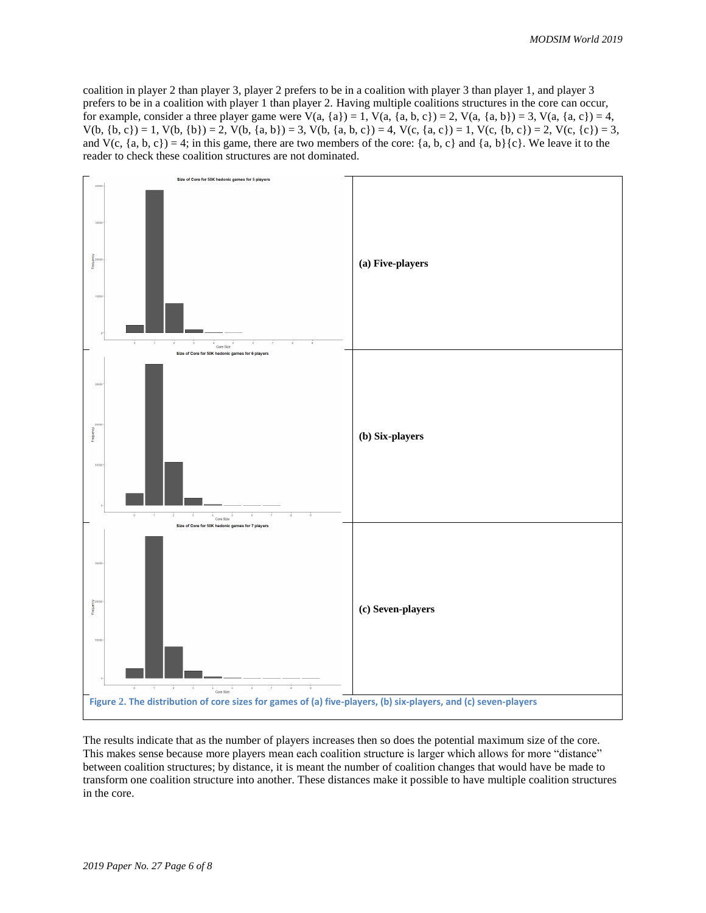coalition in player 2 than player 3, player 2 prefers to be in a coalition with player 3 than player 1, and player 3 prefers to be in a coalition with player 1 than player 2. Having multiple coalitions structures in the core can occur, for example, consider a three player game were  $V(a, \{a\}) = 1$ ,  $V(a, \{a, b, c\}) = 2$ ,  $V(a, \{a, b\}) = 3$ ,  $V(a, \{a, c\}) = 4$ ,  $V(b, {b, c}) = 1$ ,  $V(b, {b}) = 2$ ,  $V(b, {a, b}) = 3$ ,  $V(b, {a, b, c}) = 4$ ,  $V(c, {a, c}) = 1$ ,  $V(c, {b, c}) = 2$ ,  $V(c, {c}) = 3$ , and  $V(c, \{a, b, c\}) = 4$ ; in this game, there are two members of the core:  $\{a, b, c\}$  and  $\{a, b\}\{c\}$ . We leave it to the reader to check these coalition structures are not dominated.



The results indicate that as the number of players increases then so does the potential maximum size of the core. This makes sense because more players mean each coalition structure is larger which allows for more "distance" between coalition structures; by distance, it is meant the number of coalition changes that would have be made to transform one coalition structure into another. These distances make it possible to have multiple coalition structures in the core.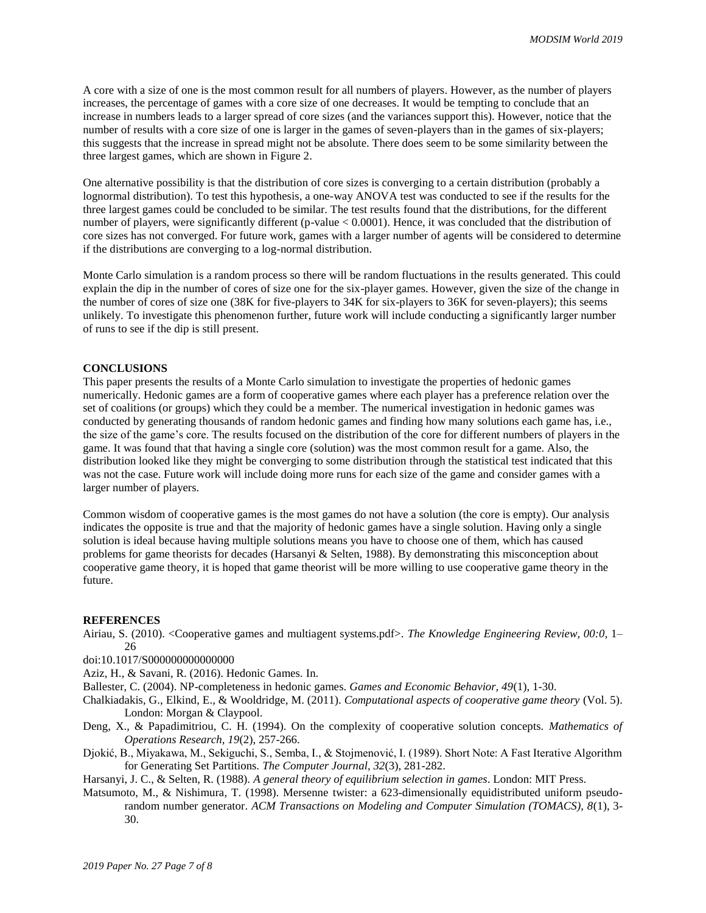A core with a size of one is the most common result for all numbers of players. However, as the number of players increases, the percentage of games with a core size of one decreases. It would be tempting to conclude that an increase in numbers leads to a larger spread of core sizes (and the variances support this). However, notice that the number of results with a core size of one is larger in the games of seven-players than in the games of six-players; this suggests that the increase in spread might not be absolute. There does seem to be some similarity between the three largest games, which are shown in Figure 2.

One alternative possibility is that the distribution of core sizes is converging to a certain distribution (probably a lognormal distribution). To test this hypothesis, a one-way ANOVA test was conducted to see if the results for the three largest games could be concluded to be similar. The test results found that the distributions, for the different number of players, were significantly different (p-value < 0.0001). Hence, it was concluded that the distribution of core sizes has not converged. For future work, games with a larger number of agents will be considered to determine if the distributions are converging to a log-normal distribution.

Monte Carlo simulation is a random process so there will be random fluctuations in the results generated. This could explain the dip in the number of cores of size one for the six-player games. However, given the size of the change in the number of cores of size one (38K for five-players to 34K for six-players to 36K for seven-players); this seems unlikely. To investigate this phenomenon further, future work will include conducting a significantly larger number of runs to see if the dip is still present.

## **CONCLUSIONS**

This paper presents the results of a Monte Carlo simulation to investigate the properties of hedonic games numerically. Hedonic games are a form of cooperative games where each player has a preference relation over the set of coalitions (or groups) which they could be a member. The numerical investigation in hedonic games was conducted by generating thousands of random hedonic games and finding how many solutions each game has, i.e., the size of the game's core. The results focused on the distribution of the core for different numbers of players in the game. It was found that that having a single core (solution) was the most common result for a game. Also, the distribution looked like they might be converging to some distribution through the statistical test indicated that this was not the case. Future work will include doing more runs for each size of the game and consider games with a larger number of players.

Common wisdom of cooperative games is the most games do not have a solution (the core is empty). Our analysis indicates the opposite is true and that the majority of hedonic games have a single solution. Having only a single solution is ideal because having multiple solutions means you have to choose one of them, which has caused problems for game theorists for decades (Harsanyi & Selten, 1988). By demonstrating this misconception about cooperative game theory, it is hoped that game theorist will be more willing to use cooperative game theory in the future.

#### **REFERENCES**

Airiau, S. (2010). <Cooperative games and multiagent systems.pdf>. *The Knowledge Engineering Review, 00:0*, 1–  $26$ 

doi:10.1017/S000000000000000

Aziz, H., & Savani, R. (2016). Hedonic Games. In.

Ballester, C. (2004). NP-completeness in hedonic games. *Games and Economic Behavior, 49*(1), 1-30.

Chalkiadakis, G., Elkind, E., & Wooldridge, M. (2011). *Computational aspects of cooperative game theory* (Vol. 5). London: Morgan & Claypool.

- Deng, X., & Papadimitriou, C. H. (1994). On the complexity of cooperative solution concepts. *Mathematics of Operations Research, 19*(2), 257-266.
- Djokić, B., Miyakawa, M., Sekiguchi, S., Semba, I., & Stojmenović, I. (1989). Short Note: A Fast Iterative Algorithm for Generating Set Partitions. *The Computer Journal, 32*(3), 281-282.

Harsanyi, J. C., & Selten, R. (1988). *A general theory of equilibrium selection in games*. London: MIT Press.

Matsumoto, M., & Nishimura, T. (1998). Mersenne twister: a 623-dimensionally equidistributed uniform pseudorandom number generator. *ACM Transactions on Modeling and Computer Simulation (TOMACS), 8*(1), 3- 30.